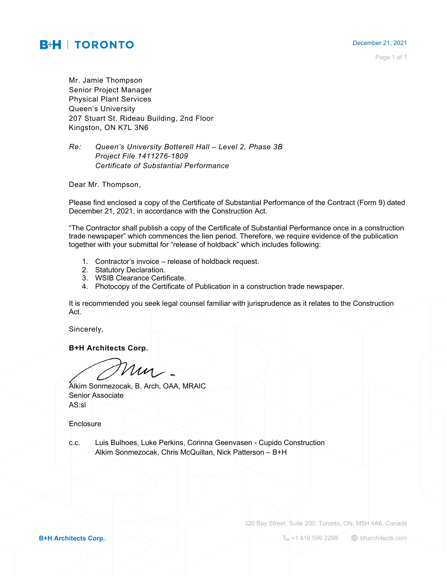## December 21, 2021

Page 1 of 1

**B+H | TORONTO** 

Mr. Jamie Thompson Senior Project Manager Physical Plant Services Queen's University 207 Stuart St. Rideau Building, 2nd Floor Kingston, ON K7L 3N6

## *Re: Queen's University Botterell Hall – Level 2, Phase 3B Project File 1411276-1809 Certificate of Substantial Performance*

Dear Mr. Thompson,

Please find enclosed a copy of the Certificate of Substantial Performance of the Contract (Form 9) dated December 21, 2021, in accordance with the Construction Act.

"The Contractor shall publish a copy of the Certificate of Substantial Performance once in a construction trade newspaper" which commences the lien period. Therefore, we require evidence of the publication together with your submittal for "release of holdback" which includes following:

- 1. Contractor's invoice release of holdback request.
- 2. Statutory Declaration.
- 3. WSIB Clearance Certificate.
- 4. Photocopy of the Certificate of Publication in a construction trade newspaper.

It is recommended you seek legal counsel familiar with jurisprudence as it relates to the Construction Act.

Sincerely,

**B+H Architects Corp.**

m

Alkim Sonmezocak, B. Arch, OAA, MRAIC Senior Associate AS:sl

Enclosure

c.c. Luis Bulhoes, Luke Perkins, Corinna Geenvasen - Cupido Construction Alkim Sonmezocak, Chris McQuillan, Nick Patterson – B+H

320 Bay Street, Suite 200, Toronto, ON, M5H 4A6, Canada